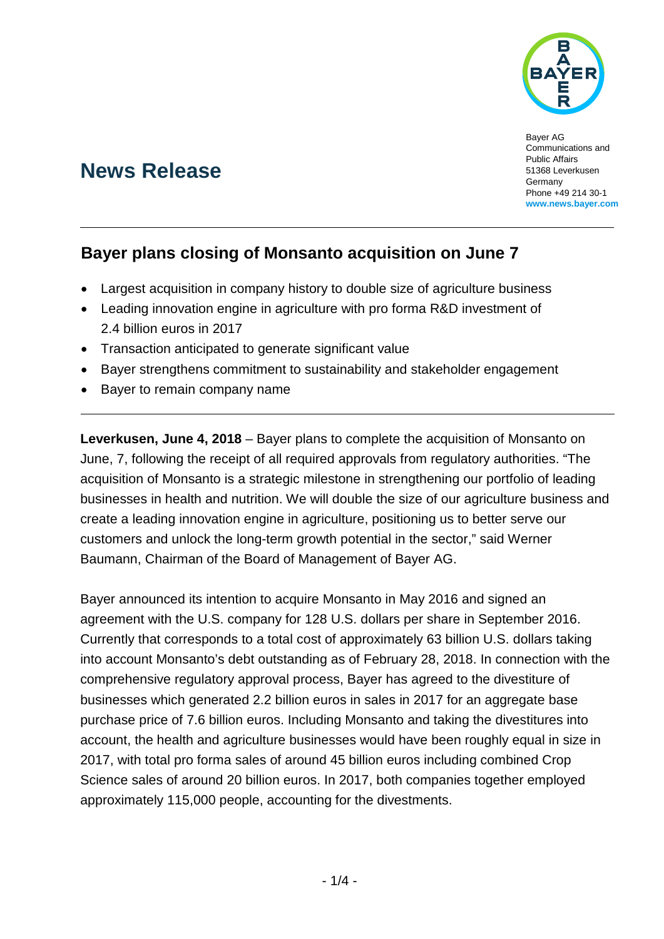

Bayer AG Communications and Public Affairs 51368 Leverkusen **Germany** Phone +49 214 30-1 **www.news.bayer.com**

# **News Release**

## **Bayer plans closing of Monsanto acquisition on June 7**

- Largest acquisition in company history to double size of agriculture business
- Leading innovation engine in agriculture with pro forma R&D investment of 2.4 billion euros in 2017
- Transaction anticipated to generate significant value
- Bayer strengthens commitment to sustainability and stakeholder engagement
- Bayer to remain company name

**Leverkusen, June 4, 2018** – Bayer plans to complete the acquisition of Monsanto on June, 7, following the receipt of all required approvals from regulatory authorities. "The acquisition of Monsanto is a strategic milestone in strengthening our portfolio of leading businesses in health and nutrition. We will double the size of our agriculture business and create a leading innovation engine in agriculture, positioning us to better serve our customers and unlock the long-term growth potential in the sector," said Werner Baumann, Chairman of the Board of Management of Bayer AG.

Bayer announced its intention to acquire Monsanto in May 2016 and signed an agreement with the U.S. company for 128 U.S. dollars per share in September 2016. Currently that corresponds to a total cost of approximately 63 billion U.S. dollars taking into account Monsanto's debt outstanding as of February 28, 2018. In connection with the comprehensive regulatory approval process, Bayer has agreed to the divestiture of businesses which generated 2.2 billion euros in sales in 2017 for an aggregate base purchase price of 7.6 billion euros. Including Monsanto and taking the divestitures into account, the health and agriculture businesses would have been roughly equal in size in 2017, with total pro forma sales of around 45 billion euros including combined Crop Science sales of around 20 billion euros. In 2017, both companies together employed approximately 115,000 people, accounting for the divestments.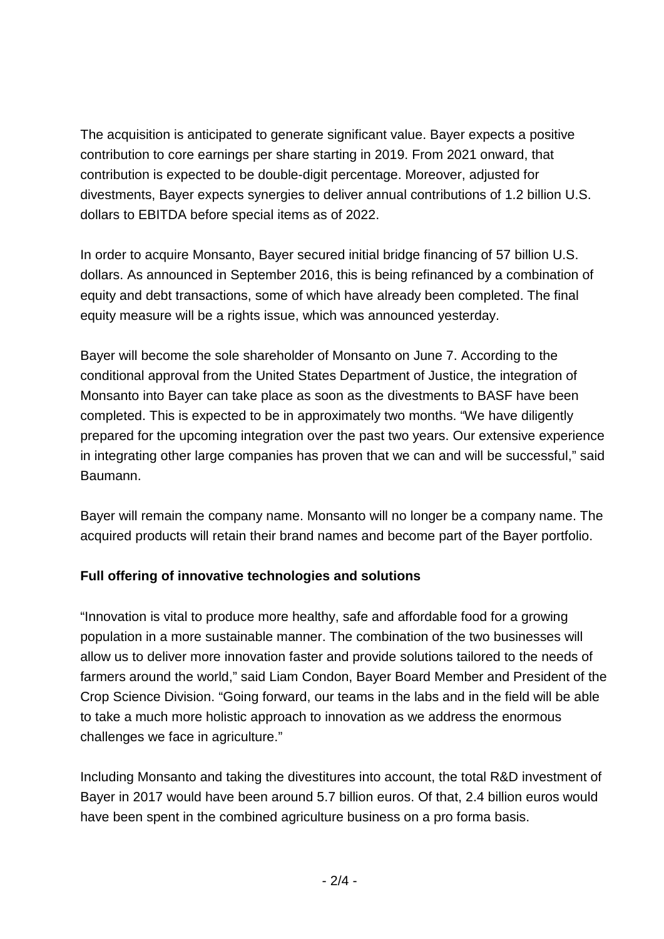The acquisition is anticipated to generate significant value. Bayer expects a positive contribution to core earnings per share starting in 2019. From 2021 onward, that contribution is expected to be double-digit percentage. Moreover, adjusted for divestments, Bayer expects synergies to deliver annual contributions of 1.2 billion U.S. dollars to EBITDA before special items as of 2022.

In order to acquire Monsanto, Bayer secured initial bridge financing of 57 billion U.S. dollars. As announced in September 2016, this is being refinanced by a combination of equity and debt transactions, some of which have already been completed. The final equity measure will be a rights issue, which was announced yesterday.

Bayer will become the sole shareholder of Monsanto on June 7. According to the conditional approval from the United States Department of Justice, the integration of Monsanto into Bayer can take place as soon as the divestments to BASF have been completed. This is expected to be in approximately two months. "We have diligently prepared for the upcoming integration over the past two years. Our extensive experience in integrating other large companies has proven that we can and will be successful," said Baumann.

Bayer will remain the company name. Monsanto will no longer be a company name. The acquired products will retain their brand names and become part of the Bayer portfolio.

### **Full offering of innovative technologies and solutions**

"Innovation is vital to produce more healthy, safe and affordable food for a growing population in a more sustainable manner. The combination of the two businesses will allow us to deliver more innovation faster and provide solutions tailored to the needs of farmers around the world," said Liam Condon, Bayer Board Member and President of the Crop Science Division. "Going forward, our teams in the labs and in the field will be able to take a much more holistic approach to innovation as we address the enormous challenges we face in agriculture."

Including Monsanto and taking the divestitures into account, the total R&D investment of Bayer in 2017 would have been around 5.7 billion euros. Of that, 2.4 billion euros would have been spent in the combined agriculture business on a pro forma basis.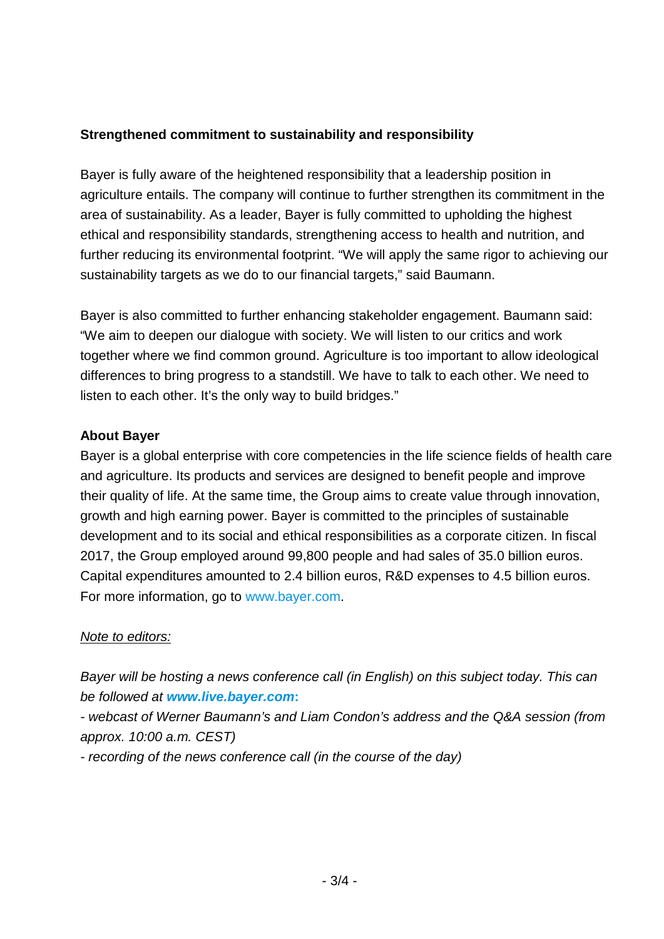#### **Strengthened commitment to sustainability and responsibility**

Bayer is fully aware of the heightened responsibility that a leadership position in agriculture entails. The company will continue to further strengthen its commitment in the area of sustainability. As a leader, Bayer is fully committed to upholding the highest ethical and responsibility standards, strengthening access to health and nutrition, and further reducing its environmental footprint. "We will apply the same rigor to achieving our sustainability targets as we do to our financial targets," said Baumann.

Bayer is also committed to further enhancing stakeholder engagement. Baumann said: "We aim to deepen our dialogue with society. We will listen to our critics and work together where we find common ground. Agriculture is too important to allow ideological differences to bring progress to a standstill. We have to talk to each other. We need to listen to each other. It's the only way to build bridges."

#### **About Bayer**

Bayer is a global enterprise with core competencies in the life science fields of health care and agriculture. Its products and services are designed to benefit people and improve their quality of life. At the same time, the Group aims to create value through innovation, growth and high earning power. Bayer is committed to the principles of sustainable development and to its social and ethical responsibilities as a corporate citizen. In fiscal 2017, the Group employed around 99,800 people and had sales of 35.0 billion euros. Capital expenditures amounted to 2.4 billion euros, R&D expenses to 4.5 billion euros. For more information, go to [www.bayer.com.](http://www.bayer.com/)

#### *Note to editors:*

*Bayer will be hosting a news conference call (in English) on this subject today. This can be followed at [www.live.bayer.com](http://www.live.bayer.com/)***:**

*- webcast of Werner Baumann's and Liam Condon's address and the Q&A session (from approx. 10:00 a.m. CEST)*

*- recording of the news conference call (in the course of the day)*